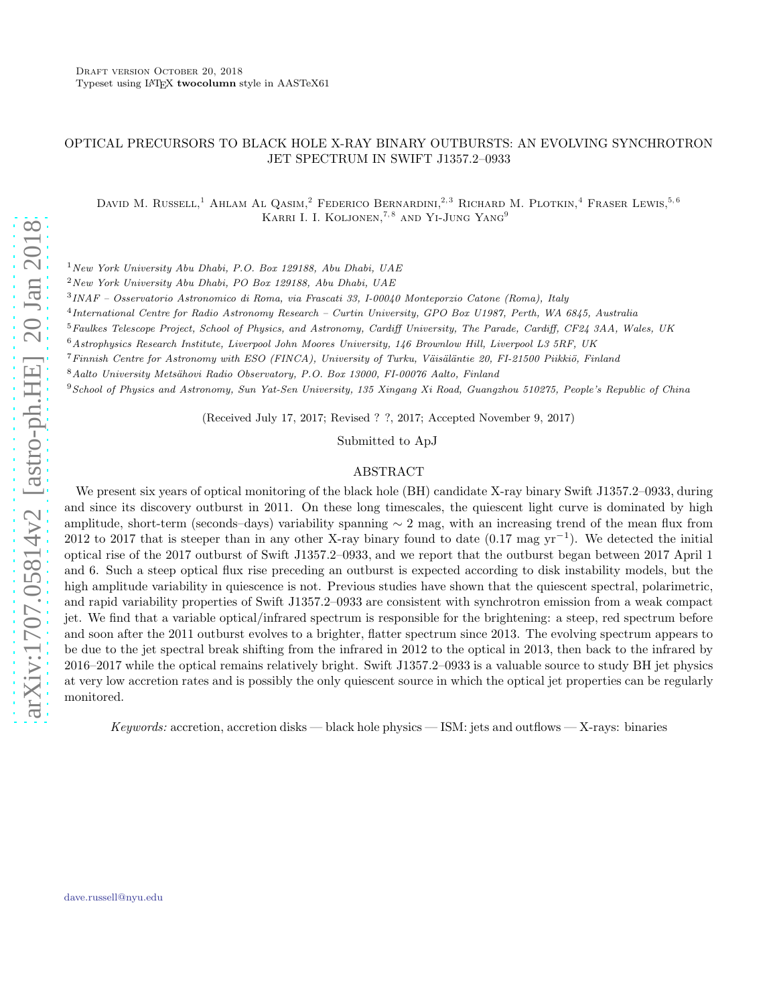# OPTICAL PRECURSORS TO BLACK HOLE X-RAY BINARY OUTBURSTS: AN EVOLVING SYNCHROTRON JET SPECTRUM IN SWIFT J1357.2–0933

DAVID M. RUSSELL,<sup>1</sup> AHLAM AL QASIM,<sup>2</sup> FEDERICO BERNARDINI,<sup>2,3</sup> RICHARD M. PLOTKIN,<sup>4</sup> FRASER LEWIS,<sup>5,6</sup> KARRI I. I. KOLJONEN,<sup>7,8</sup> AND YI-JUNG YANG<sup>9</sup>

 $1$ New York University Abu Dhabi, P.O. Box 129188, Abu Dhabi, UAE

<sup>2</sup>New York University Abu Dhabi, PO Box 129188, Abu Dhabi, UAE

3 INAF – Osservatorio Astronomico di Roma, via Frascati 33, I-00040 Monteporzio Catone (Roma), Italy

4 International Centre for Radio Astronomy Research – Curtin University, GPO Box U1987, Perth, WA 6845, Australia

<sup>5</sup>Faulkes Telescope Project, School of Physics, and Astronomy, Cardiff University, The Parade, Cardiff, CF24 3AA, Wales, UK

<sup>6</sup>Astrophysics Research Institute, Liverpool John Moores University, 146 Brownlow Hill, Liverpool L3 5RF, UK

 $7\text{ Finnish Centre for Astronomy with ESO (FINCA). University of Turku, Väisäläntie 20, FI-21500 Pikkiö, Finland.$ 

8 Aalto University Metsähovi Radio Observatory, P.O. Box 13000, FI-00076 Aalto, Finland

<sup>9</sup>School of Physics and Astronomy, Sun Yat-Sen University, 135 Xingang Xi Road, Guangzhou 510275, People's Republic of China

(Received July 17, 2017; Revised ? ?, 2017; Accepted November 9, 2017)

Submitted to ApJ

## ABSTRACT

We present six years of optical monitoring of the black hole (BH) candidate X-ray binary Swift J1357.2–0933, during and since its discovery outburst in 2011. On these long timescales, the quiescent light curve is dominated by high amplitude, short-term (seconds–days) variability spanning  $\sim 2$  mag, with an increasing trend of the mean flux from 2012 to 2017 that is steeper than in any other X-ray binary found to date (0.17 mag yr<sup>−</sup><sup>1</sup> ). We detected the initial optical rise of the 2017 outburst of Swift J1357.2–0933, and we report that the outburst began between 2017 April 1 and 6. Such a steep optical flux rise preceding an outburst is expected according to disk instability models, but the high amplitude variability in quiescence is not. Previous studies have shown that the quiescent spectral, polarimetric, and rapid variability properties of Swift J1357.2–0933 are consistent with synchrotron emission from a weak compact jet. We find that a variable optical/infrared spectrum is responsible for the brightening: a steep, red spectrum before and soon after the 2011 outburst evolves to a brighter, flatter spectrum since 2013. The evolving spectrum appears to be due to the jet spectral break shifting from the infrared in 2012 to the optical in 2013, then back to the infrared by 2016–2017 while the optical remains relatively bright. Swift J1357.2–0933 is a valuable source to study BH jet physics at very low accretion rates and is possibly the only quiescent source in which the optical jet properties can be regularly monitored.

Keywords: accretion, accretion disks — black hole physics — ISM: jets and outflows — X-rays: binaries

[dave.russell@nyu.edu](mailto: dave.russell@nyu.edu)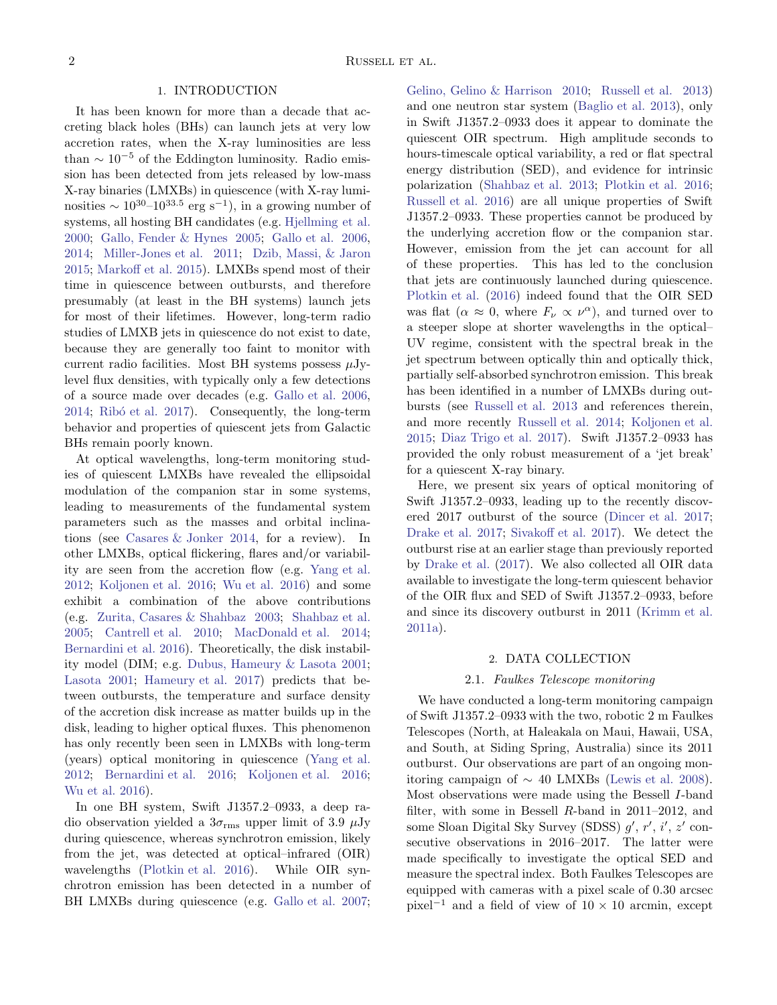## 1. INTRODUCTION

It has been known for more than a decade that accreting black holes (BHs) can launch jets at very low accretion rates, when the X-ray luminosities are less than  $\sim 10^{-5}$  of the Eddington luminosity. Radio emission has been detected from jets released by low-mass X-ray binaries (LMXBs) in quiescence (with X-ray luminosities  $\sim 10^{30} - 10^{33.5}$  erg s<sup>-1</sup>), in a growing number of systems, all hosting BH candidates (e.g. [Hjellming et al.](#page-8-0) [2000;](#page-8-0) [Gallo, Fender & Hynes 2005;](#page-8-1) [Gallo et al. 2006,](#page-8-2) [2014;](#page-8-3) [Miller-Jones et al. 2011;](#page-8-4) [Dzib, Massi, & Jaron](#page-8-5) [2015;](#page-8-5) [Markoff et al. 2015](#page-8-6)). LMXBs spend most of their time in quiescence between outbursts, and therefore presumably (at least in the BH systems) launch jets for most of their lifetimes. However, long-term radio studies of LMXB jets in quiescence do not exist to date, because they are generally too faint to monitor with current radio facilities. Most BH systems possess  $\mu$ Jylevel flux densities, with typically only a few detections of a source made over decades (e.g. [Gallo et al. 2006,](#page-8-2) [2014;](#page-8-3) Ribó et al. 2017). Consequently, the long-term behavior and properties of quiescent jets from Galactic BHs remain poorly known.

At optical wavelengths, long-term monitoring studies of quiescent LMXBs have revealed the ellipsoidal modulation of the companion star in some systems, leading to measurements of the fundamental system parameters such as the masses and orbital inclinations (see [Casares & Jonker 2014](#page-8-8), for a review). In other LMXBs, optical flickering, flares and/or variability are seen from the accretion flow (e.g. [Yang et al.](#page-8-9) [2012;](#page-8-9) [Koljonen et al. 2016;](#page-8-10) [Wu et al. 2016\)](#page-8-11) and some exhibit a combination of the above contributions (e.g. [Zurita, Casares & Shahbaz 2003;](#page-8-12) [Shahbaz et al.](#page-8-13) [2005;](#page-8-13) [Cantrell et al. 2010;](#page-7-0) [MacDonald et al. 2014;](#page-8-14) [Bernardini et al. 2016\)](#page-7-1). Theoretically, the disk instability model (DIM; e.g. [Dubus, Hameury & Lasota 2001;](#page-8-15) [Lasota 2001;](#page-8-16) [Hameury et al. 2017\)](#page-8-17) predicts that between outbursts, the temperature and surface density of the accretion disk increase as matter builds up in the disk, leading to higher optical fluxes. This phenomenon has only recently been seen in LMXBs with long-term (years) optical monitoring in quiescence [\(Yang et al.](#page-8-9) [2012;](#page-8-9) [Bernardini et al. 2016;](#page-7-1) [Koljonen et al. 2016;](#page-8-10) [Wu et al. 2016\)](#page-8-11).

In one BH system, Swift J1357.2–0933, a deep radio observation yielded a  $3\sigma_{\rm rms}$  upper limit of 3.9  $\mu$ Jy during quiescence, whereas synchrotron emission, likely from the jet, was detected at optical–infrared (OIR) wavelengths [\(Plotkin et al. 2016\)](#page-8-18). While OIR synchrotron emission has been detected in a number of BH LMXBs during quiescence (e.g. [Gallo et al. 2007;](#page-8-19) [Gelino, Gelino & Harrison 2010](#page-8-20); [Russell et al. 2013](#page-8-21)) and one neutron star system [\(Baglio et al. 2013\)](#page-7-2), only in Swift J1357.2–0933 does it appear to dominate the quiescent OIR spectrum. High amplitude seconds to hours-timescale optical variability, a red or flat spectral energy distribution (SED), and evidence for intrinsic polarization [\(Shahbaz et al. 2013;](#page-8-22) [Plotkin et al. 2016](#page-8-18); [Russell et al. 2016\)](#page-8-23) are all unique properties of Swift J1357.2–0933. These properties cannot be produced by the underlying accretion flow or the companion star. However, emission from the jet can account for all of these properties. This has led to the conclusion that jets are continuously launched during quiescence. [Plotkin et al.](#page-8-18) [\(2016\)](#page-8-18) indeed found that the OIR SED was flat  $(\alpha \approx 0, \text{ where } F_{\nu} \propto \nu^{\alpha})$ , and turned over to a steeper slope at shorter wavelengths in the optical– UV regime, consistent with the spectral break in the jet spectrum between optically thin and optically thick, partially self-absorbed synchrotron emission. This break has been identified in a number of LMXBs during outbursts (see [Russell et al. 2013](#page-8-21) and references therein, and more recently [Russell et al. 2014;](#page-8-24) [Koljonen et al.](#page-8-25) [2015;](#page-8-25) [Diaz Trigo et al. 2017\)](#page-8-26). Swift J1357.2–0933 has provided the only robust measurement of a 'jet break' for a quiescent X-ray binary.

Here, we present six years of optical monitoring of Swift J1357.2–0933, leading up to the recently discovered 2017 outburst of the source [\(Dincer et al. 2017](#page-8-27); [Drake et al. 2017](#page-8-28); [Sivakoff et al. 2017](#page-8-29)). We detect the outburst rise at an earlier stage than previously reported by [Drake et al.](#page-8-28) [\(2017\)](#page-8-28). We also collected all OIR data available to investigate the long-term quiescent behavior of the OIR flux and SED of Swift J1357.2–0933, before and since its discovery outburst in 2011 [\(Krimm et al.](#page-8-30) [2011a\)](#page-8-30).

# 2. DATA COLLECTION

#### 2.1. Faulkes Telescope monitoring

We have conducted a long-term monitoring campaign of Swift J1357.2–0933 with the two, robotic 2 m Faulkes Telescopes (North, at Haleakala on Maui, Hawaii, USA, and South, at Siding Spring, Australia) since its 2011 outburst. Our observations are part of an ongoing monitoring campaign of  $\sim 40$  LMXBs [\(Lewis et al. 2008](#page-8-31)). Most observations were made using the Bessell I-band filter, with some in Bessell R-band in 2011–2012, and some Sloan Digital Sky Survey (SDSS)  $g'$ ,  $r'$ ,  $i'$ ,  $z'$  consecutive observations in 2016–2017. The latter were made specifically to investigate the optical SED and measure the spectral index. Both Faulkes Telescopes are equipped with cameras with a pixel scale of 0.30 arcsec pixel<sup>-1</sup> and a field of view of  $10 \times 10$  arcmin, except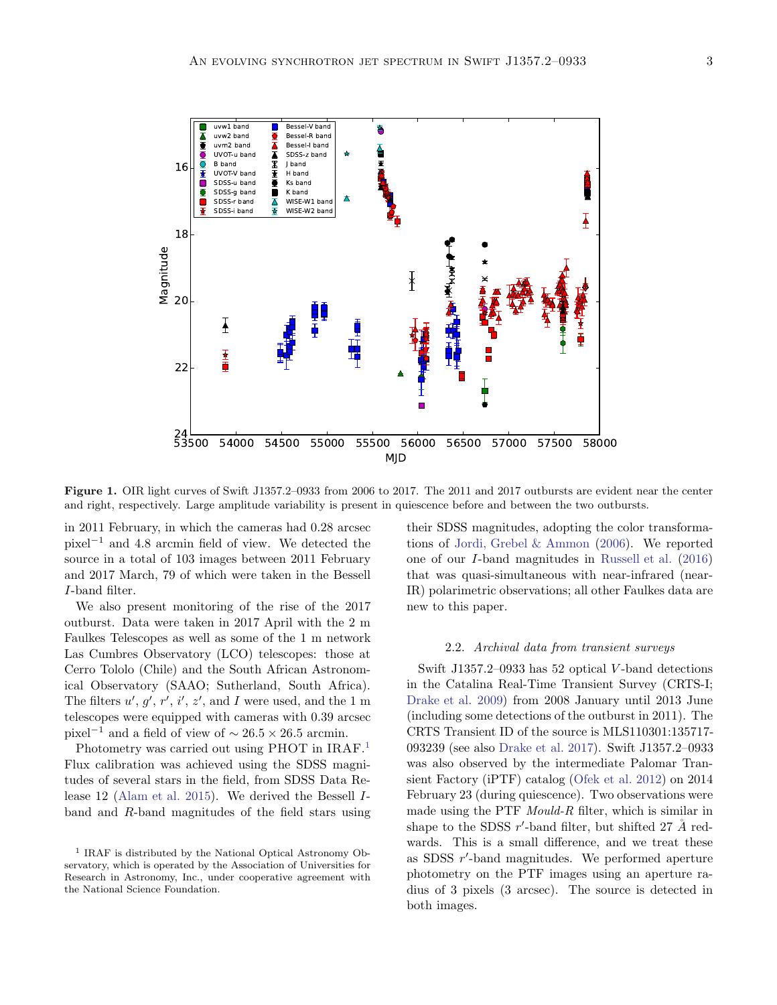

Figure 1. OIR light curves of Swift J1357.2–0933 from 2006 to 2017. The 2011 and 2017 outbursts are evident near the center and right, respectively. Large amplitude variability is present in quiescence before and between the two outbursts.

in 2011 February, in which the cameras had 0.28 arcsec pixel<sup>−</sup><sup>1</sup> and 4.8 arcmin field of view. We detected the source in a total of 103 images between 2011 February and 2017 March, 79 of which were taken in the Bessell I-band filter.

We also present monitoring of the rise of the 2017 outburst. Data were taken in 2017 April with the 2 m Faulkes Telescopes as well as some of the 1 m network Las Cumbres Observatory (LCO) telescopes: those at Cerro Tololo (Chile) and the South African Astronomical Observatory (SAAO; Sutherland, South Africa). The filters  $u', g', r', i', z'$ , and I were used, and the 1 m telescopes were equipped with cameras with 0.39 arcsec pixel<sup>-1</sup> and a field of view of  $\sim 26.5 \times 26.5$  arcmin.

Photometry was carried out using PHOT in IRAF.<sup>[1](#page-2-0)</sup> Flux calibration was achieved using the SDSS magnitudes of several stars in the field, from SDSS Data Release 12 [\(Alam et al. 2015\)](#page-7-3). We derived the Bessell Iband and R-band magnitudes of the field stars using their SDSS magnitudes, adopting the color transformations of [Jordi, Grebel & Ammon](#page-8-32) [\(2006\)](#page-8-32). We reported one of our I-band magnitudes in [Russell et al.](#page-8-23) [\(2016](#page-8-23)) that was quasi-simultaneous with near-infrared (near-IR) polarimetric observations; all other Faulkes data are new to this paper.

### 2.2. Archival data from transient surveys

Swift J1357.2–0933 has  $52$  optical V-band detections in the Catalina Real-Time Transient Survey (CRTS-I; [Drake et al. 2009](#page-8-33)) from 2008 January until 2013 June (including some detections of the outburst in 2011). The CRTS Transient ID of the source is MLS110301:135717- 093239 (see also [Drake et al. 2017\)](#page-8-28). Swift J1357.2–0933 was also observed by the intermediate Palomar Transient Factory (iPTF) catalog [\(Ofek et al. 2012\)](#page-8-34) on 2014 February 23 (during quiescence). Two observations were made using the PTF Mould-R filter, which is similar in shape to the SDSS  $r'$ -band filter, but shifted 27  $\AA$  redwards. This is a small difference, and we treat these as SDSS r ′ -band magnitudes. We performed aperture photometry on the PTF images using an aperture radius of 3 pixels (3 arcsec). The source is detected in both images.

<span id="page-2-0"></span><sup>&</sup>lt;sup>1</sup> IRAF is distributed by the National Optical Astronomy Observatory, which is operated by the Association of Universities for Research in Astronomy, Inc., under cooperative agreement with the National Science Foundation.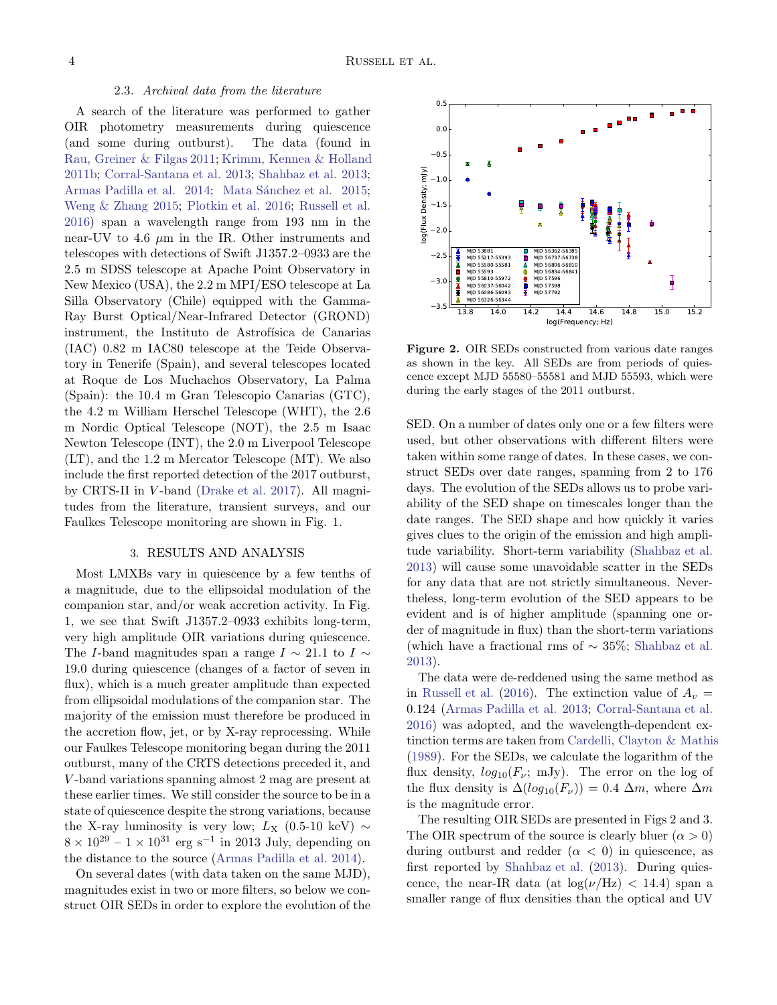## 2.3. Archival data from the literature

A search of the literature was performed to gather OIR photometry measurements during quiescence (and some during outburst). The data (found in [Rau, Greiner & Filgas 2011;](#page-8-35) [Krimm, Kennea & Holland](#page-8-36) [2011b](#page-8-36); [Corral-Santana et al. 2013;](#page-8-37) [Shahbaz et al. 2013;](#page-8-22) [Armas Padilla et al. 2014;](#page-7-4) Mata Sánchez et al. 2015; [Weng & Zhang 2015;](#page-8-39) [Plotkin et al. 2016](#page-8-18); [Russell et al.](#page-8-23) [2016\)](#page-8-23) span a wavelength range from 193 nm in the near-UV to 4.6  $\mu$ m in the IR. Other instruments and telescopes with detections of Swift J1357.2–0933 are the 2.5 m SDSS telescope at Apache Point Observatory in New Mexico (USA), the 2.2 m MPI/ESO telescope at La Silla Observatory (Chile) equipped with the Gamma-Ray Burst Optical/Near-Infrared Detector (GROND) instrument, the Instituto de Astrofísica de Canarias (IAC) 0.82 m IAC80 telescope at the Teide Observatory in Tenerife (Spain), and several telescopes located at Roque de Los Muchachos Observatory, La Palma (Spain): the 10.4 m Gran Telescopio Canarias (GTC), the 4.2 m William Herschel Telescope (WHT), the 2.6 m Nordic Optical Telescope (NOT), the 2.5 m Isaac Newton Telescope (INT), the 2.0 m Liverpool Telescope (LT), and the 1.2 m Mercator Telescope (MT). We also include the first reported detection of the 2017 outburst, by CRTS-II in V -band [\(Drake et al. 2017\)](#page-8-28). All magnitudes from the literature, transient surveys, and our Faulkes Telescope monitoring are shown in Fig. 1.

#### 3. RESULTS AND ANALYSIS

Most LMXBs vary in quiescence by a few tenths of a magnitude, due to the ellipsoidal modulation of the companion star, and/or weak accretion activity. In Fig. 1, we see that Swift J1357.2–0933 exhibits long-term, very high amplitude OIR variations during quiescence. The I-band magnitudes span a range  $I \sim 21.1$  to  $I \sim$ 19.0 during quiescence (changes of a factor of seven in flux), which is a much greater amplitude than expected from ellipsoidal modulations of the companion star. The majority of the emission must therefore be produced in the accretion flow, jet, or by X-ray reprocessing. While our Faulkes Telescope monitoring began during the 2011 outburst, many of the CRTS detections preceded it, and V -band variations spanning almost 2 mag are present at these earlier times. We still consider the source to be in a state of quiescence despite the strong variations, because the X-ray luminosity is very low;  $L_X$  (0.5-10 keV)  $\sim$  $8 \times 10^{29} - 1 \times 10^{31}$  erg s<sup>-1</sup> in 2013 July, depending on the distance to the source [\(Armas Padilla et al. 2014\)](#page-7-4).

On several dates (with data taken on the same MJD), magnitudes exist in two or more filters, so below we construct OIR SEDs in order to explore the evolution of the



Figure 2. OIR SEDs constructed from various date ranges as shown in the key. All SEDs are from periods of quiescence except MJD 55580–55581 and MJD 55593, which were during the early stages of the 2011 outburst.

SED. On a number of dates only one or a few filters were used, but other observations with different filters were taken within some range of dates. In these cases, we construct SEDs over date ranges, spanning from 2 to 176 days. The evolution of the SEDs allows us to probe variability of the SED shape on timescales longer than the date ranges. The SED shape and how quickly it varies gives clues to the origin of the emission and high amplitude variability. Short-term variability [\(Shahbaz et al.](#page-8-22) [2013\)](#page-8-22) will cause some unavoidable scatter in the SEDs for any data that are not strictly simultaneous. Nevertheless, long-term evolution of the SED appears to be evident and is of higher amplitude (spanning one order of magnitude in flux) than the short-term variations (which have a fractional rms of ∼ 35%; [Shahbaz et al.](#page-8-22) [2013\)](#page-8-22).

The data were de-reddened using the same method as in [Russell et al.](#page-8-23) [\(2016](#page-8-23)). The extinction value of  $A_v =$ 0.124 [\(Armas Padilla et al. 2013](#page-7-5); [Corral-Santana et al.](#page-8-40) [2016\)](#page-8-40) was adopted, and the wavelength-dependent extinction terms are taken from [Cardelli, Clayton & Mathis](#page-7-6) [\(1989\)](#page-7-6). For the SEDs, we calculate the logarithm of the flux density,  $log_{10}(F_{\nu}; \text{ mJy})$ . The error on the log of the flux density is  $\Delta(log_{10}(F_{\nu})) = 0.4 \Delta m$ , where  $\Delta m$ is the magnitude error.

The resulting OIR SEDs are presented in Figs 2 and 3. The OIR spectrum of the source is clearly bluer  $(\alpha > 0)$ during outburst and redder  $(\alpha < 0)$  in quiescence, as first reported by [Shahbaz et al.](#page-8-22) [\(2013](#page-8-22)). During quiescence, the near-IR data (at  $\log(\nu/\text{Hz})$  < 14.4) span a smaller range of flux densities than the optical and UV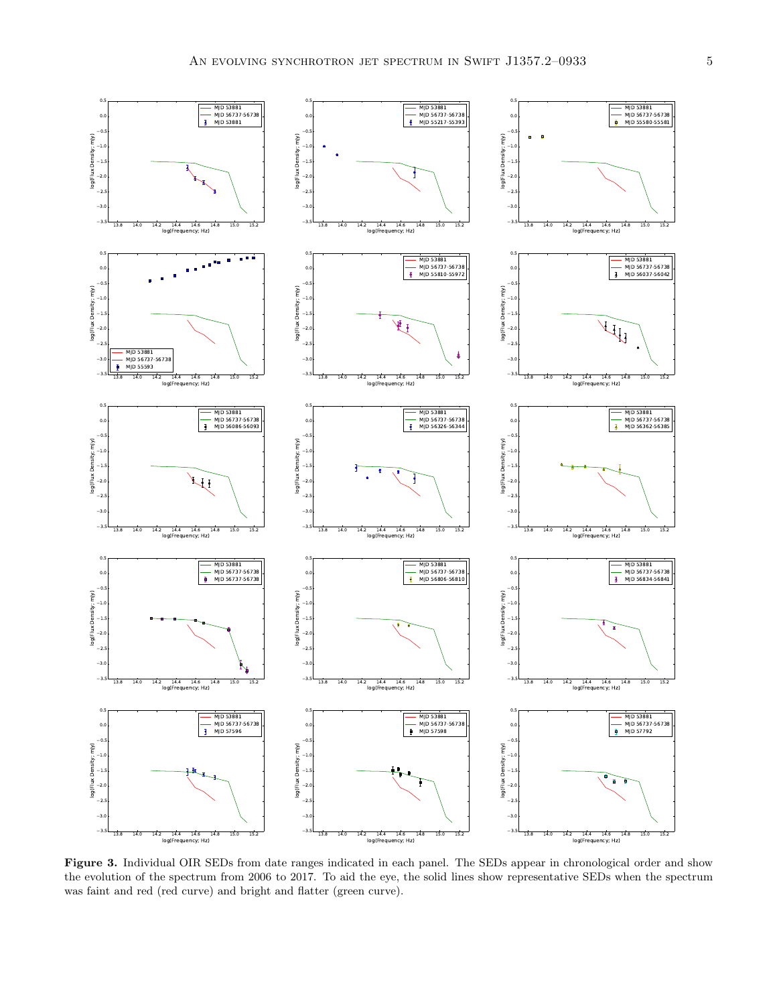

Figure 3. Individual OIR SEDs from date ranges indicated in each panel. The SEDs appear in chronological order and show the evolution of the spectrum from 2006 to 2017. To aid the eye, the solid lines show representative SEDs when the spectrum was faint and red (red curve) and bright and flatter (green curve).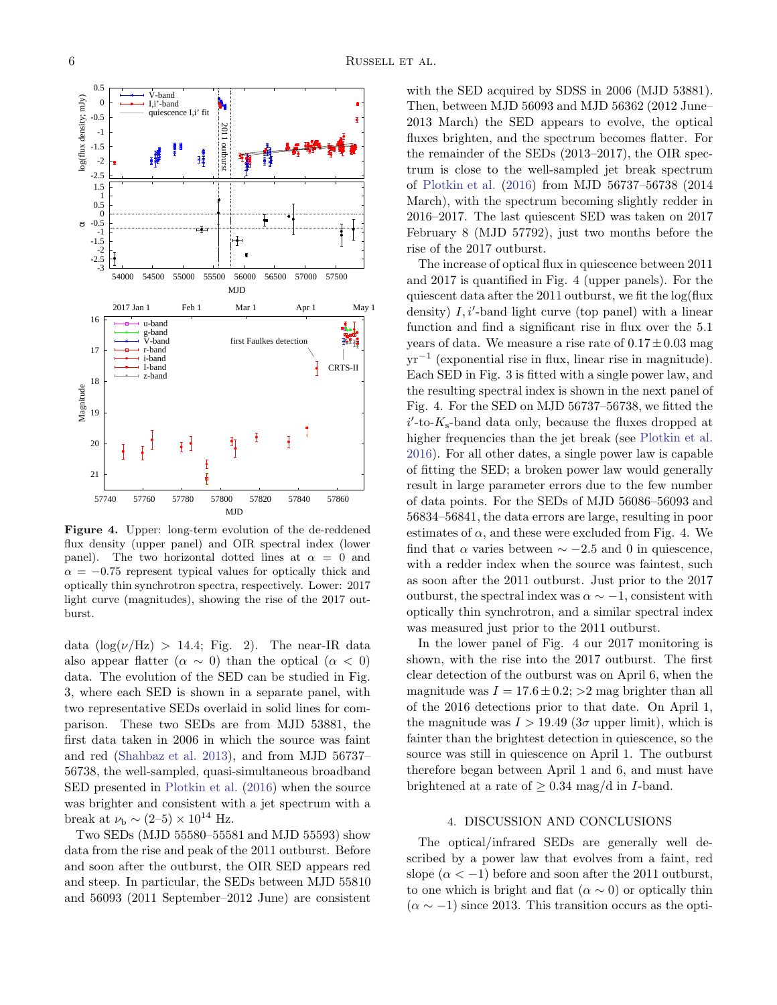

Figure 4. Upper: long-term evolution of the de-reddened flux density (upper panel) and OIR spectral index (lower panel). The two horizontal dotted lines at  $\alpha = 0$  and  $\alpha = -0.75$  represent typical values for optically thick and optically thin synchrotron spectra, respectively. Lower: 2017 light curve (magnitudes), showing the rise of the 2017 outburst.

data  $(\log(\nu/\text{Hz}) > 14.4; \text{Fig. 2}).$  The near-IR data also appear flatter  $(\alpha \sim 0)$  than the optical  $(\alpha < 0)$ data. The evolution of the SED can be studied in Fig. 3, where each SED is shown in a separate panel, with two representative SEDs overlaid in solid lines for comparison. These two SEDs are from MJD 53881, the first data taken in 2006 in which the source was faint and red [\(Shahbaz et al. 2013\)](#page-8-22), and from MJD 56737– 56738, the well-sampled, quasi-simultaneous broadband SED presented in [Plotkin et al.](#page-8-18) [\(2016\)](#page-8-18) when the source was brighter and consistent with a jet spectrum with a break at  $\nu_{\rm b} \sim (2-5) \times 10^{14}$  Hz.

Two SEDs (MJD 55580–55581 and MJD 55593) show data from the rise and peak of the 2011 outburst. Before and soon after the outburst, the OIR SED appears red and steep. In particular, the SEDs between MJD 55810 and 56093 (2011 September–2012 June) are consistent

with the SED acquired by SDSS in 2006 (MJD 53881). Then, between MJD 56093 and MJD 56362 (2012 June– 2013 March) the SED appears to evolve, the optical fluxes brighten, and the spectrum becomes flatter. For the remainder of the SEDs (2013–2017), the OIR spectrum is close to the well-sampled jet break spectrum of [Plotkin et al.](#page-8-18) [\(2016](#page-8-18)) from MJD 56737–56738 (2014 March), with the spectrum becoming slightly redder in 2016–2017. The last quiescent SED was taken on 2017 February 8 (MJD 57792), just two months before the rise of the 2017 outburst.

The increase of optical flux in quiescence between 2011 and 2017 is quantified in Fig. 4 (upper panels). For the quiescent data after the 2011 outburst, we fit the log(flux density)  $I, i'$ -band light curve (top panel) with a linear function and find a significant rise in flux over the 5.1 years of data. We measure a rise rate of  $0.17 \pm 0.03$  mag yr−<sup>1</sup> (exponential rise in flux, linear rise in magnitude). Each SED in Fig. 3 is fitted with a single power law, and the resulting spectral index is shown in the next panel of Fig. 4. For the SED on MJD 56737–56738, we fitted the  $i'$ -to- $K_s$ -band data only, because the fluxes dropped at higher frequencies than the jet break (see [Plotkin et al.](#page-8-18) [2016\)](#page-8-18). For all other dates, a single power law is capable of fitting the SED; a broken power law would generally result in large parameter errors due to the few number of data points. For the SEDs of MJD 56086–56093 and 56834–56841, the data errors are large, resulting in poor estimates of  $\alpha$ , and these were excluded from Fig. 4. We find that  $\alpha$  varies between  $\sim -2.5$  and 0 in quiescence, with a redder index when the source was faintest, such as soon after the 2011 outburst. Just prior to the 2017 outburst, the spectral index was  $\alpha \sim -1$ , consistent with optically thin synchrotron, and a similar spectral index was measured just prior to the 2011 outburst.

In the lower panel of Fig. 4 our 2017 monitoring is shown, with the rise into the 2017 outburst. The first clear detection of the outburst was on April 6, when the magnitude was  $I = 17.6 \pm 0.2$ ;  $>2$  mag brighter than all of the 2016 detections prior to that date. On April 1, the magnitude was  $I > 19.49$  (3 $\sigma$  upper limit), which is fainter than the brightest detection in quiescence, so the source was still in quiescence on April 1. The outburst therefore began between April 1 and 6, and must have brightened at a rate of  $\geq 0.34$  mag/d in *I*-band.

#### 4. DISCUSSION AND CONCLUSIONS

The optical/infrared SEDs are generally well described by a power law that evolves from a faint, red slope  $(\alpha < -1)$  before and soon after the 2011 outburst, to one which is bright and flat  $(\alpha \sim 0)$  or optically thin  $(\alpha \sim -1)$  since 2013. This transition occurs as the opti-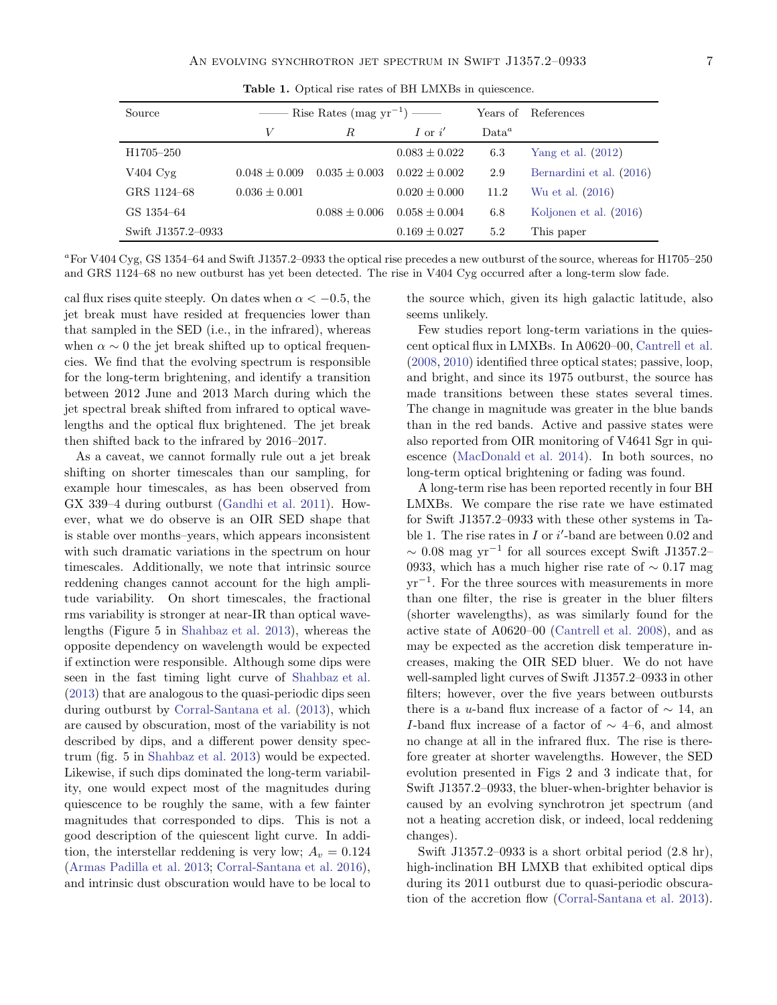| Source                | $\frac{1}{\sqrt{1-\frac{1}{1-\frac{1}{1-\frac{1}{1-\frac{1}{1-\frac{1}{1-\frac{1}{1-\frac{1}{1-\frac{1}{1-\frac{1}{1-\frac{1}{1-\frac{1}{1-\frac{1}{1-\frac{1}{1-\frac{1}{1-\frac{1}{1-\frac{1}{1-\frac{1}{1-\frac{1}{1-\frac{1}{1-\frac{1}{1-\frac{1}{1-\frac{1}{1-\frac{1}{1-\frac{1}{1-\frac{1}{1-\frac{1}{1-\frac{1}{1-\frac{1}{1-\frac{1}{1-\frac{1}{1-\frac{1}{1-\frac{1}{1-\frac{1}{1-\frac{1}{1-\frac{1}{1-\$ |                   |                   | Years of | References               |
|-----------------------|-----------------------------------------------------------------------------------------------------------------------------------------------------------------------------------------------------------------------------------------------------------------------------------------------------------------------------------------------------------------------------------------------------------------------|-------------------|-------------------|----------|--------------------------|
|                       | V                                                                                                                                                                                                                                                                                                                                                                                                                     | R.                | I or $i'$         | $Data^a$ |                          |
| H1705-250             |                                                                                                                                                                                                                                                                                                                                                                                                                       |                   | $0.083 \pm 0.022$ | 6.3      | Yang et al. $(2012)$     |
| $V404 \,\mathrm{Cyg}$ | $0.048 \pm 0.009$                                                                                                                                                                                                                                                                                                                                                                                                     | $0.035 \pm 0.003$ | $0.022 \pm 0.002$ | 2.9      | Bernardini et al. (2016) |
| GRS 1124-68           | $0.036 \pm 0.001$                                                                                                                                                                                                                                                                                                                                                                                                     |                   | $0.020 \pm 0.000$ | 11.2     | Wu et al. (2016)         |
| GS 1354-64            |                                                                                                                                                                                                                                                                                                                                                                                                                       | $0.088 \pm 0.006$ | $0.058 \pm 0.004$ | 6.8      | Koljonen et al. (2016)   |
| Swift J1357.2-0933    |                                                                                                                                                                                                                                                                                                                                                                                                                       |                   | $0.169 \pm 0.027$ | 5.2      | This paper               |

Table 1. Optical rise rates of BH LMXBs in quiescence.

<sup>a</sup>For V404 Cyg, GS 1354–64 and Swift J1357.2–0933 the optical rise precedes a new outburst of the source, whereas for H1705–250 and GRS 1124–68 no new outburst has yet been detected. The rise in V404 Cyg occurred after a long-term slow fade.

cal flux rises quite steeply. On dates when  $\alpha < -0.5$ , the jet break must have resided at frequencies lower than that sampled in the SED (i.e., in the infrared), whereas when  $\alpha \sim 0$  the jet break shifted up to optical frequencies. We find that the evolving spectrum is responsible for the long-term brightening, and identify a transition between 2012 June and 2013 March during which the jet spectral break shifted from infrared to optical wavelengths and the optical flux brightened. The jet break then shifted back to the infrared by 2016–2017.

As a caveat, we cannot formally rule out a jet break shifting on shorter timescales than our sampling, for example hour timescales, as has been observed from GX 339–4 during outburst [\(Gandhi et al. 2011\)](#page-8-41). However, what we do observe is an OIR SED shape that is stable over months–years, which appears inconsistent with such dramatic variations in the spectrum on hour timescales. Additionally, we note that intrinsic source reddening changes cannot account for the high amplitude variability. On short timescales, the fractional rms variability is stronger at near-IR than optical wavelengths (Figure 5 in [Shahbaz et al. 2013\)](#page-8-22), whereas the opposite dependency on wavelength would be expected if extinction were responsible. Although some dips were seen in the fast timing light curve of [Shahbaz et al.](#page-8-22) [\(2013\)](#page-8-22) that are analogous to the quasi-periodic dips seen during outburst by [Corral-Santana et al.](#page-8-37) [\(2013\)](#page-8-37), which are caused by obscuration, most of the variability is not described by dips, and a different power density spectrum (fig. 5 in [Shahbaz et al. 2013\)](#page-8-22) would be expected. Likewise, if such dips dominated the long-term variability, one would expect most of the magnitudes during quiescence to be roughly the same, with a few fainter magnitudes that corresponded to dips. This is not a good description of the quiescent light curve. In addition, the interstellar reddening is very low;  $A_v = 0.124$ [\(Armas Padilla et al. 2013](#page-7-5); [Corral-Santana et al. 2016\)](#page-8-40), and intrinsic dust obscuration would have to be local to

the source which, given its high galactic latitude, also seems unlikely.

Few studies report long-term variations in the quiescent optical flux in LMXBs. In A0620–00, [Cantrell et al.](#page-7-7) [\(2008,](#page-7-7) [2010\)](#page-7-0) identified three optical states; passive, loop, and bright, and since its 1975 outburst, the source has made transitions between these states several times. The change in magnitude was greater in the blue bands than in the red bands. Active and passive states were also reported from OIR monitoring of V4641 Sgr in quiescence [\(MacDonald et al. 2014](#page-8-14)). In both sources, no long-term optical brightening or fading was found.

A long-term rise has been reported recently in four BH LMXBs. We compare the rise rate we have estimated for Swift J1357.2–0933 with these other systems in Table 1. The rise rates in  $I$  or  $i'$ -band are between 0.02 and  $\sim$  0.08 mag yr<sup>-1</sup> for all sources except Swift J1357.2– 0933, which has a much higher rise rate of  $\sim 0.17$  mag yr<sup>−</sup><sup>1</sup> . For the three sources with measurements in more than one filter, the rise is greater in the bluer filters (shorter wavelengths), as was similarly found for the active state of A0620–00 [\(Cantrell et al. 2008](#page-7-7)), and as may be expected as the accretion disk temperature increases, making the OIR SED bluer. We do not have well-sampled light curves of Swift J1357.2–0933 in other filters; however, over the five years between outbursts there is a u-band flux increase of a factor of  $\sim$  14, an I-band flux increase of a factor of  $\sim$  4–6, and almost no change at all in the infrared flux. The rise is therefore greater at shorter wavelengths. However, the SED evolution presented in Figs 2 and 3 indicate that, for Swift J1357.2–0933, the bluer-when-brighter behavior is caused by an evolving synchrotron jet spectrum (and not a heating accretion disk, or indeed, local reddening changes).

Swift J1357.2–0933 is a short orbital period (2.8 hr), high-inclination BH LMXB that exhibited optical dips during its 2011 outburst due to quasi-periodic obscuration of the accretion flow [\(Corral-Santana et al. 2013](#page-8-37)).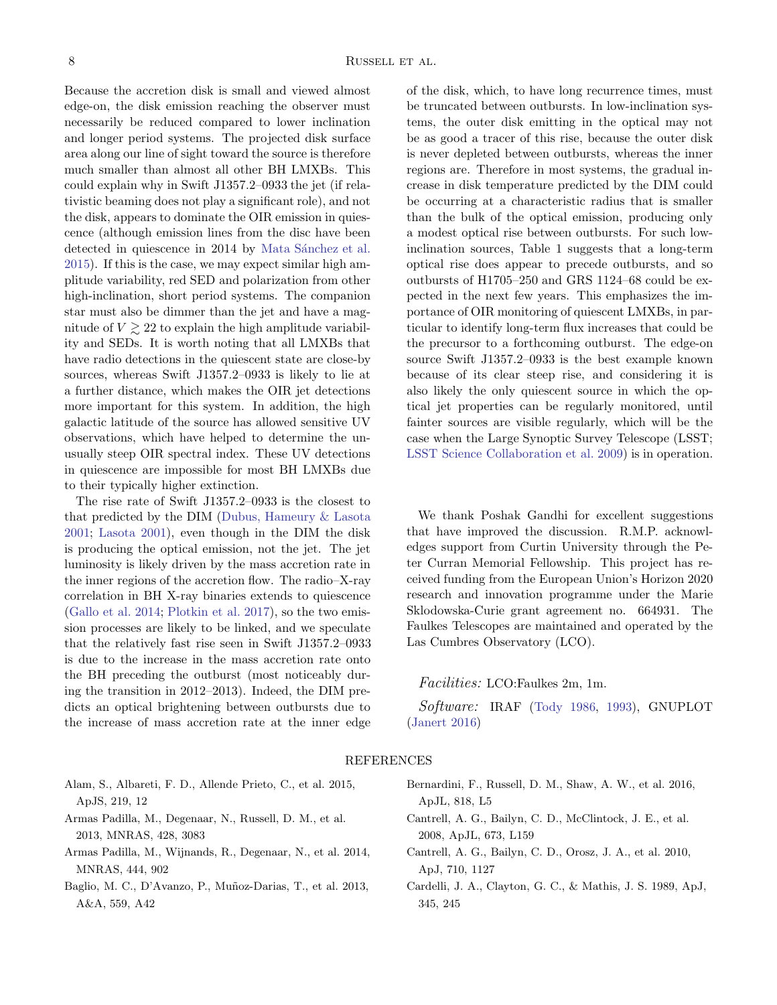Because the accretion disk is small and viewed almost edge-on, the disk emission reaching the observer must necessarily be reduced compared to lower inclination and longer period systems. The projected disk surface area along our line of sight toward the source is therefore much smaller than almost all other BH LMXBs. This could explain why in Swift J1357.2–0933 the jet (if relativistic beaming does not play a significant role), and not the disk, appears to dominate the OIR emission in quiescence (although emission lines from the disc have been detected in quiescence in 2014 by Mata Sánchez et al. [2015\)](#page-8-38). If this is the case, we may expect similar high amplitude variability, red SED and polarization from other high-inclination, short period systems. The companion star must also be dimmer than the jet and have a magnitude of  $V \geq 22$  to explain the high amplitude variability and SEDs. It is worth noting that all LMXBs that have radio detections in the quiescent state are close-by sources, whereas Swift J1357.2–0933 is likely to lie at a further distance, which makes the OIR jet detections more important for this system. In addition, the high galactic latitude of the source has allowed sensitive UV observations, which have helped to determine the unusually steep OIR spectral index. These UV detections in quiescence are impossible for most BH LMXBs due to their typically higher extinction.

The rise rate of Swift J1357.2–0933 is the closest to that predicted by the DIM [\(Dubus, Hameury & Lasota](#page-8-15) [2001;](#page-8-15) [Lasota 2001](#page-8-16)), even though in the DIM the disk is producing the optical emission, not the jet. The jet luminosity is likely driven by the mass accretion rate in the inner regions of the accretion flow. The radio–X-ray correlation in BH X-ray binaries extends to quiescence [\(Gallo et al. 2014;](#page-8-3) [Plotkin et al. 2017\)](#page-8-42), so the two emission processes are likely to be linked, and we speculate that the relatively fast rise seen in Swift J1357.2–0933 is due to the increase in the mass accretion rate onto the BH preceding the outburst (most noticeably during the transition in 2012–2013). Indeed, the DIM predicts an optical brightening between outbursts due to the increase of mass accretion rate at the inner edge of the disk, which, to have long recurrence times, must be truncated between outbursts. In low-inclination systems, the outer disk emitting in the optical may not be as good a tracer of this rise, because the outer disk is never depleted between outbursts, whereas the inner regions are. Therefore in most systems, the gradual increase in disk temperature predicted by the DIM could be occurring at a characteristic radius that is smaller than the bulk of the optical emission, producing only a modest optical rise between outbursts. For such lowinclination sources, Table 1 suggests that a long-term optical rise does appear to precede outbursts, and so outbursts of H1705–250 and GRS 1124–68 could be expected in the next few years. This emphasizes the importance of OIR monitoring of quiescent LMXBs, in particular to identify long-term flux increases that could be the precursor to a forthcoming outburst. The edge-on source Swift J1357.2–0933 is the best example known because of its clear steep rise, and considering it is also likely the only quiescent source in which the optical jet properties can be regularly monitored, until fainter sources are visible regularly, which will be the case when the Large Synoptic Survey Telescope (LSST; [LSST Science Collaboration et al. 2009\)](#page-8-43) is in operation.

We thank Poshak Gandhi for excellent suggestions that have improved the discussion. R.M.P. acknowledges support from Curtin University through the Peter Curran Memorial Fellowship. This project has received funding from the European Union's Horizon 2020 research and innovation programme under the Marie Sklodowska-Curie grant agreement no. 664931. The Faulkes Telescopes are maintained and operated by the Las Cumbres Observatory (LCO).

Facilities: LCO:Faulkes 2m, 1m.

Software: IRAF [\(Tody 1986,](#page-8-44) [1993](#page-8-45)), GNUPLOT [\(Janert 2016\)](#page-8-46)

## REFERENCES

- <span id="page-7-3"></span>Alam, S., Albareti, F. D., Allende Prieto, C., et al. 2015, ApJS, 219, 12
- <span id="page-7-5"></span>Armas Padilla, M., Degenaar, N., Russell, D. M., et al. 2013, MNRAS, 428, 3083
- <span id="page-7-4"></span>Armas Padilla, M., Wijnands, R., Degenaar, N., et al. 2014, MNRAS, 444, 902
- <span id="page-7-2"></span>Baglio, M. C., D'Avanzo, P., Muñoz-Darias, T., et al. 2013, A&A, 559, A42
- <span id="page-7-1"></span>Bernardini, F., Russell, D. M., Shaw, A. W., et al. 2016, ApJL, 818, L5
- <span id="page-7-7"></span>Cantrell, A. G., Bailyn, C. D., McClintock, J. E., et al. 2008, ApJL, 673, L159
- <span id="page-7-0"></span>Cantrell, A. G., Bailyn, C. D., Orosz, J. A., et al. 2010, ApJ, 710, 1127
- <span id="page-7-6"></span>Cardelli, J. A., Clayton, G. C., & Mathis, J. S. 1989, ApJ, 345, 245